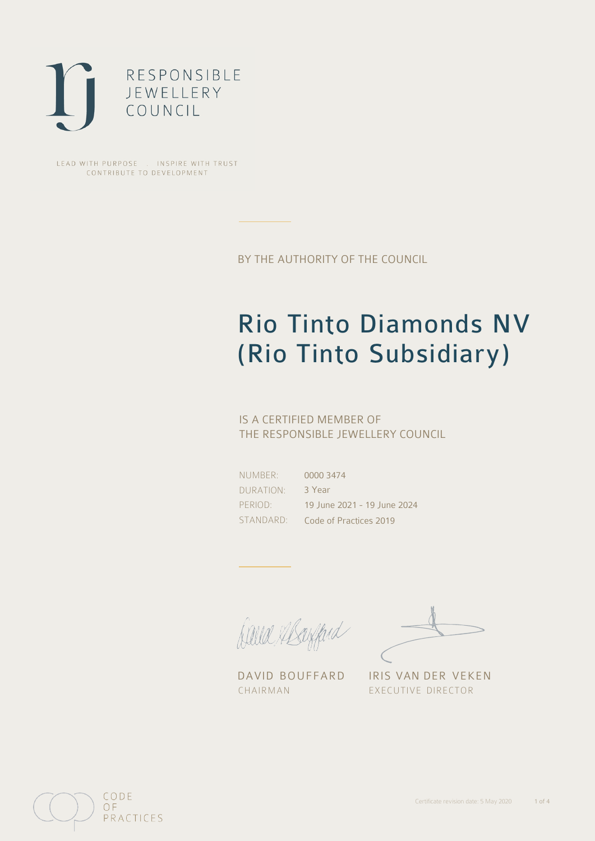

LEAD WITH PURPOSE . INSPIRE WITH TRUST CONTRIBUTE TO DEVELOPMENT

BY THE AUTHORITY OF THE COUNCIL

# Rio Tinto Diamonds NV (Rio Tinto Subsidiary)

## IS A CERTIFIED MEMBER OF THE RESPONSIBLE JEWELLERY COUNCIL

NUMBER: DURATION: PERIOD: STANDARD:

0000 3474 3 Year 19 June 2021 - 19 June 2024 Code of Practices 2019

David Alsofferd

DAVID BOUFFARD IRIS VAN DER VEKEN CHAIRMAN EXECUTIVE DIRECTOR

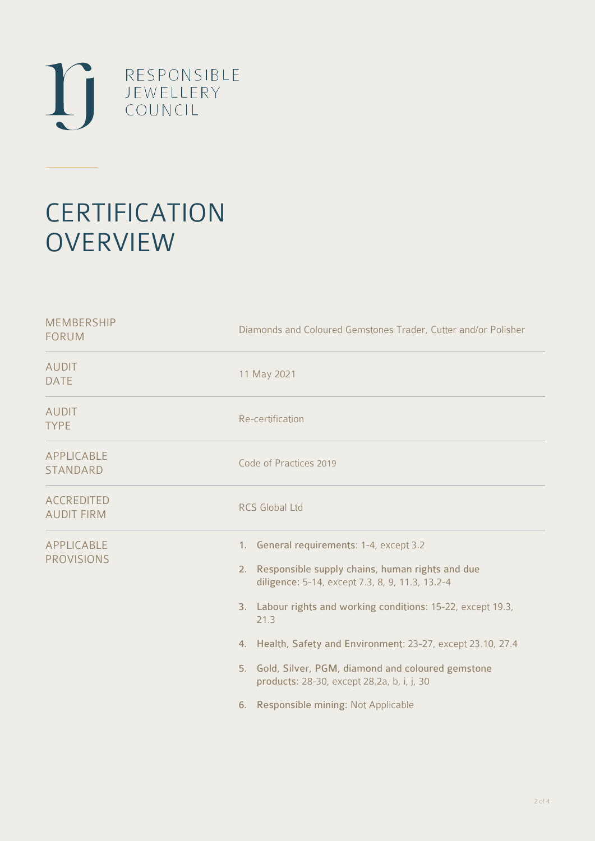

# **CERTIFICATION OVERVIEW**

| <b>MEMBERSHIP</b><br><b>FORUM</b>      | Diamonds and Coloured Gemstones Trader, Cutter and/or Polisher                                                                                                                                                                                                                                                                                                                                                                             |  |  |
|----------------------------------------|--------------------------------------------------------------------------------------------------------------------------------------------------------------------------------------------------------------------------------------------------------------------------------------------------------------------------------------------------------------------------------------------------------------------------------------------|--|--|
| <b>AUDIT</b><br><b>DATE</b>            | 11 May 2021                                                                                                                                                                                                                                                                                                                                                                                                                                |  |  |
| <b>AUDIT</b><br><b>TYPE</b>            | Re-certification                                                                                                                                                                                                                                                                                                                                                                                                                           |  |  |
| APPLICABLE<br><b>STANDARD</b>          | Code of Practices 2019                                                                                                                                                                                                                                                                                                                                                                                                                     |  |  |
| <b>ACCREDITED</b><br><b>AUDIT FIRM</b> | <b>RCS Global Ltd</b>                                                                                                                                                                                                                                                                                                                                                                                                                      |  |  |
| APPLICABLE<br><b>PROVISIONS</b>        | 1. General requirements: 1-4, except 3.2<br>2. Responsible supply chains, human rights and due<br>diligence: 5-14, except 7.3, 8, 9, 11.3, 13.2-4<br>3. Labour rights and working conditions: 15-22, except 19.3,<br>21.3<br>4. Health, Safety and Environment: 23-27, except 23.10, 27.4<br>5. Gold, Silver, PGM, diamond and coloured gemstone<br>products: 28-30, except 28.2a, b, i, j, 30<br>Responsible mining: Not Applicable<br>6. |  |  |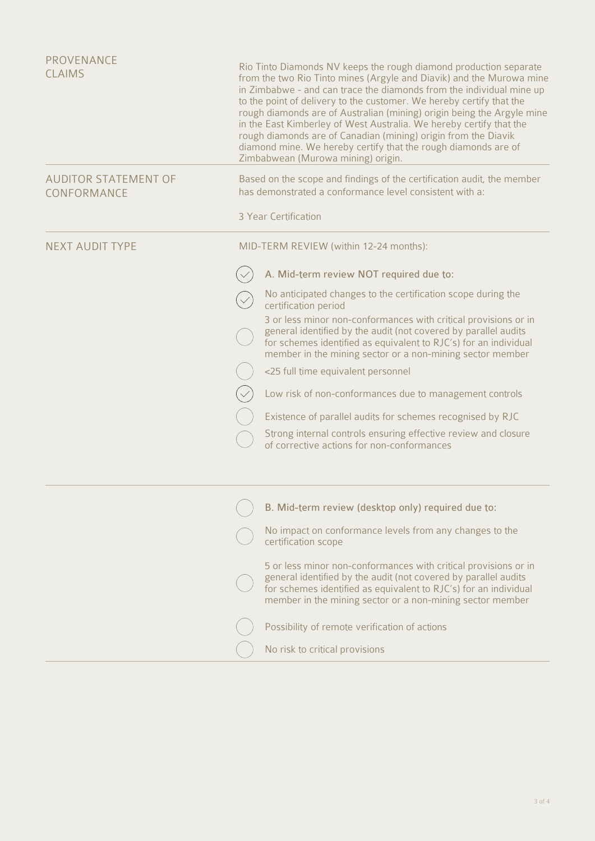| <b>PROVENANCE</b><br><b>CLAIMS</b>         | Rio Tinto Diamonds NV keeps the rough diamond production separate<br>from the two Rio Tinto mines (Argyle and Diavik) and the Murowa mine<br>in Zimbabwe - and can trace the diamonds from the individual mine up<br>to the point of delivery to the customer. We hereby certify that the<br>rough diamonds are of Australian (mining) origin being the Argyle mine<br>in the East Kimberley of West Australia. We hereby certify that the<br>rough diamonds are of Canadian (mining) origin from the Diavik<br>diamond mine. We hereby certify that the rough diamonds are of<br>Zimbabwean (Murowa mining) origin. |
|--------------------------------------------|----------------------------------------------------------------------------------------------------------------------------------------------------------------------------------------------------------------------------------------------------------------------------------------------------------------------------------------------------------------------------------------------------------------------------------------------------------------------------------------------------------------------------------------------------------------------------------------------------------------------|
| <b>AUDITOR STATEMENT OF</b><br>CONFORMANCE | Based on the scope and findings of the certification audit, the member<br>has demonstrated a conformance level consistent with a:                                                                                                                                                                                                                                                                                                                                                                                                                                                                                    |
|                                            | 3 Year Certification                                                                                                                                                                                                                                                                                                                                                                                                                                                                                                                                                                                                 |
| <b>NEXT AUDIT TYPE</b>                     | MID-TERM REVIEW (within 12-24 months):                                                                                                                                                                                                                                                                                                                                                                                                                                                                                                                                                                               |
|                                            | A. Mid-term review NOT required due to:                                                                                                                                                                                                                                                                                                                                                                                                                                                                                                                                                                              |
|                                            | No anticipated changes to the certification scope during the<br>certification period                                                                                                                                                                                                                                                                                                                                                                                                                                                                                                                                 |
|                                            | 3 or less minor non-conformances with critical provisions or in<br>general identified by the audit (not covered by parallel audits<br>for schemes identified as equivalent to RJC's) for an individual<br>member in the mining sector or a non-mining sector member                                                                                                                                                                                                                                                                                                                                                  |
|                                            | <25 full time equivalent personnel                                                                                                                                                                                                                                                                                                                                                                                                                                                                                                                                                                                   |
|                                            | Low risk of non-conformances due to management controls                                                                                                                                                                                                                                                                                                                                                                                                                                                                                                                                                              |
|                                            | Existence of parallel audits for schemes recognised by RJC                                                                                                                                                                                                                                                                                                                                                                                                                                                                                                                                                           |
|                                            | Strong internal controls ensuring effective review and closure<br>of corrective actions for non-conformances                                                                                                                                                                                                                                                                                                                                                                                                                                                                                                         |
|                                            | B. Mid-term review (desktop only) required due to:                                                                                                                                                                                                                                                                                                                                                                                                                                                                                                                                                                   |
|                                            | No impact on conformance levels from any changes to the                                                                                                                                                                                                                                                                                                                                                                                                                                                                                                                                                              |
|                                            | certification scope                                                                                                                                                                                                                                                                                                                                                                                                                                                                                                                                                                                                  |
|                                            | 5 or less minor non-conformances with critical provisions or in<br>general identified by the audit (not covered by parallel audits<br>for schemes identified as equivalent to RJC's) for an individual<br>member in the mining sector or a non-mining sector member                                                                                                                                                                                                                                                                                                                                                  |
|                                            | Possibility of remote verification of actions                                                                                                                                                                                                                                                                                                                                                                                                                                                                                                                                                                        |
|                                            | No risk to critical provisions                                                                                                                                                                                                                                                                                                                                                                                                                                                                                                                                                                                       |